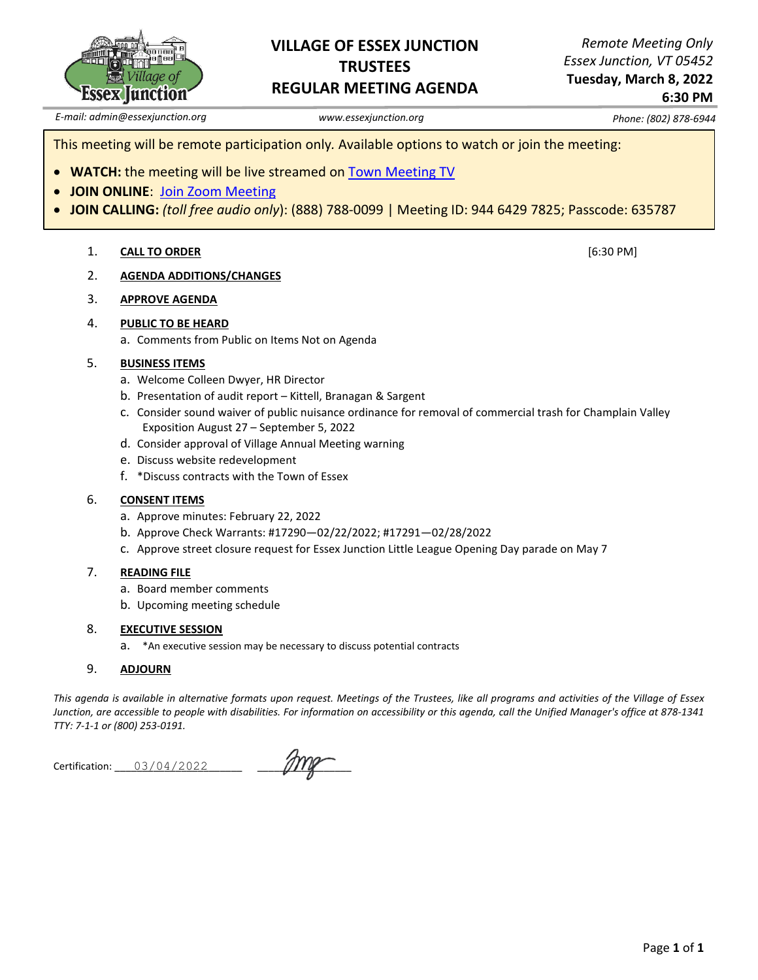

### **VILLAGE OF ESSEX JUNCTION TRUSTEES REGULAR MEETING AGENDA**

*Remote Meeting Only Essex Junction, VT 05452*

**Tuesday, March 8, 2022 6:30 PM**

*E-mail: admin@essexjunction.org www.essexjunction.org Phone: (802) 878-6944*

This meeting will be remote participation only*.* Available options to watch or join the meeting:

- **WATCH:** the meeting will be live streamed on [Town Meeting TV](https://www.youtube.com/playlist?app=desktop&list=PLljLFn4BZd2NDBcfrHVdIR7eUeko7haxg)
- **JOIN ONLINE**: [Join Zoom Meeting](https://zoom.us/j/94464297825?pwd=T0RTL0VteHZXNHlteTJpQi83WUg4QT09)
- **JOIN CALLING:** *(toll free audio only*): (888) 788-0099 | Meeting ID: 944 6429 7825; Passcode: 635787

#### 1. **CALL TO ORDER** [6:30 PM]

- 2. **AGENDA ADDITIONS/CHANGES**
- 3. **APPROVE AGENDA**

#### 4. **PUBLIC TO BE HEARD**

a. Comments from Public on Items Not on Agenda

#### 5. **BUSINESS ITEMS**

- a. Welcome Colleen Dwyer, HR Director
- b. Presentation of audit report Kittell, Branagan & Sargent
- c. Consider sound waiver of public nuisance ordinance for removal of commercial trash for Champlain Valley Exposition August 27 – September 5, 2022
- d. Consider approval of Village Annual Meeting warning
- e. Discuss website redevelopment
- f. \*Discuss contracts with the Town of Essex

#### 6. **CONSENT ITEMS**

- a. Approve minutes: February 22, 2022
- b. Approve Check Warrants: #17290—02/22/2022; #17291—02/28/2022
- c. Approve street closure request for Essex Junction Little League Opening Day parade on May 7

#### 7. **READING FILE**

- a. Board member comments
- b. Upcoming meeting schedule

#### 8. **EXECUTIVE SESSION**

a. \*An executive session may be necessary to discuss potential contracts

#### 9. **ADJOURN**

*This agenda is available in alternative formats upon request. Meetings of the Trustees, like all programs and activities of the Village of Essex Junction, are accessible to people with disabilities. For information on accessibility or this agenda, call the Unified Manager's office at 878-1341 TTY: 7-1-1 or (800) 253-0191.*

Certification: \_\_\_\_\_\_\_\_\_\_\_\_\_\_\_\_\_\_\_\_\_\_\_ \_\_\_\_\_\_\_\_\_\_\_\_\_\_\_\_\_ 03/04/2022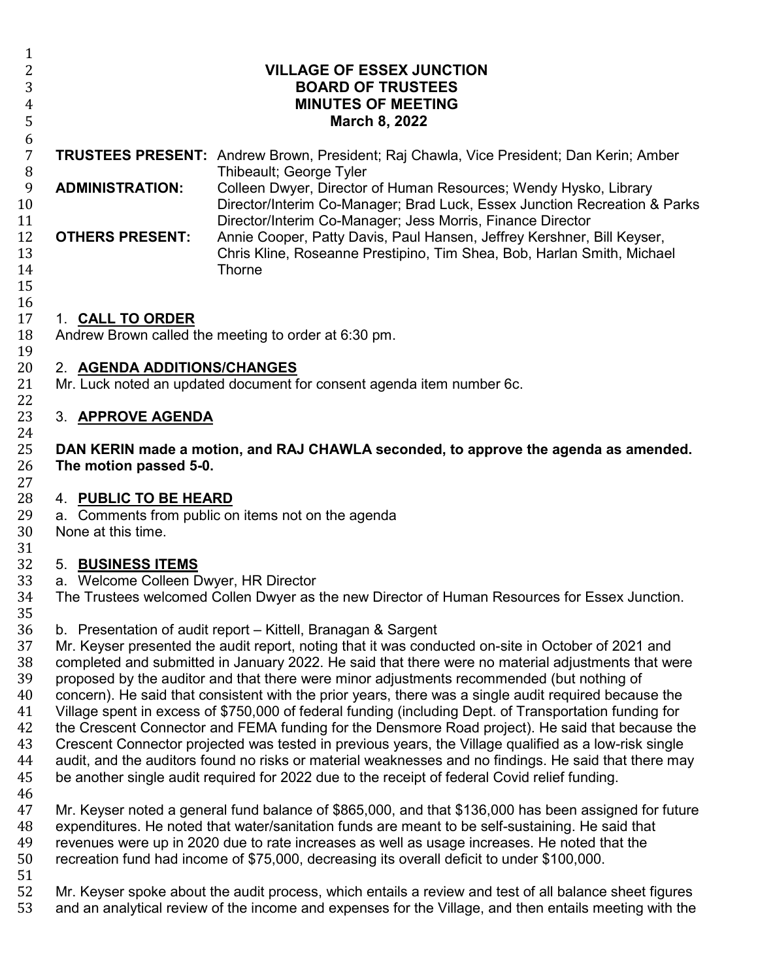| $\mathbf{1}$<br>2<br>3<br>$\overline{4}$<br>5                                                      | <b>VILLAGE OF ESSEX JUNCTION</b><br><b>BOARD OF TRUSTEES</b><br><b>MINUTES OF MEETING</b><br>March 8, 2022                                                                                                                                                                                                                                                                                                                                                                                                                                                                                                                                                                                                                                                                                                                                                                                                                                                                                                                                                                                                                                                                                                                                                                               |                                                                                                                                                                                                                                                                                                                                                                                                                                                                                                                    |  |
|----------------------------------------------------------------------------------------------------|------------------------------------------------------------------------------------------------------------------------------------------------------------------------------------------------------------------------------------------------------------------------------------------------------------------------------------------------------------------------------------------------------------------------------------------------------------------------------------------------------------------------------------------------------------------------------------------------------------------------------------------------------------------------------------------------------------------------------------------------------------------------------------------------------------------------------------------------------------------------------------------------------------------------------------------------------------------------------------------------------------------------------------------------------------------------------------------------------------------------------------------------------------------------------------------------------------------------------------------------------------------------------------------|--------------------------------------------------------------------------------------------------------------------------------------------------------------------------------------------------------------------------------------------------------------------------------------------------------------------------------------------------------------------------------------------------------------------------------------------------------------------------------------------------------------------|--|
| 6<br>$\overline{7}$<br>$\, 8$<br>9<br>10<br>11<br>12<br>13<br>14<br>15                             | <b>ADMINISTRATION:</b><br><b>OTHERS PRESENT:</b>                                                                                                                                                                                                                                                                                                                                                                                                                                                                                                                                                                                                                                                                                                                                                                                                                                                                                                                                                                                                                                                                                                                                                                                                                                         | <b>TRUSTEES PRESENT:</b> Andrew Brown, President; Raj Chawla, Vice President; Dan Kerin; Amber<br>Thibeault; George Tyler<br>Colleen Dwyer, Director of Human Resources; Wendy Hysko, Library<br>Director/Interim Co-Manager; Brad Luck, Essex Junction Recreation & Parks<br>Director/Interim Co-Manager; Jess Morris, Finance Director<br>Annie Cooper, Patty Davis, Paul Hansen, Jeffrey Kershner, Bill Keyser,<br>Chris Kline, Roseanne Prestipino, Tim Shea, Bob, Harlan Smith, Michael<br>Thorne             |  |
| 16<br>17<br>18<br>19<br>20<br>21                                                                   | 1. CALL TO ORDER<br>Andrew Brown called the meeting to order at 6:30 pm.<br>2. AGENDA ADDITIONS/CHANGES<br>Mr. Luck noted an updated document for consent agenda item number 6c.                                                                                                                                                                                                                                                                                                                                                                                                                                                                                                                                                                                                                                                                                                                                                                                                                                                                                                                                                                                                                                                                                                         |                                                                                                                                                                                                                                                                                                                                                                                                                                                                                                                    |  |
| 22<br>23<br>24<br>25<br>26<br>27<br>28<br>29<br>30                                                 | 3. APPROVE AGENDA<br>DAN KERIN made a motion, and RAJ CHAWLA seconded, to approve the agenda as amended.<br>The motion passed 5-0.<br>4. PUBLIC TO BE HEARD<br>a. Comments from public on items not on the agenda<br>None at this time.                                                                                                                                                                                                                                                                                                                                                                                                                                                                                                                                                                                                                                                                                                                                                                                                                                                                                                                                                                                                                                                  |                                                                                                                                                                                                                                                                                                                                                                                                                                                                                                                    |  |
| 31<br>32<br>33<br>34<br>35<br>36<br>37<br>38<br>39<br>40<br>41<br>42<br>43<br>44<br>45<br>46<br>47 | 5. BUSINESS ITEMS<br>a. Welcome Colleen Dwyer, HR Director<br>The Trustees welcomed Collen Dwyer as the new Director of Human Resources for Essex Junction.<br>b. Presentation of audit report – Kittell, Branagan & Sargent<br>Mr. Keyser presented the audit report, noting that it was conducted on-site in October of 2021 and<br>completed and submitted in January 2022. He said that there were no material adjustments that were<br>proposed by the auditor and that there were minor adjustments recommended (but nothing of<br>concern). He said that consistent with the prior years, there was a single audit required because the<br>Village spent in excess of \$750,000 of federal funding (including Dept. of Transportation funding for<br>the Crescent Connector and FEMA funding for the Densmore Road project). He said that because the<br>Crescent Connector projected was tested in previous years, the Village qualified as a low-risk single<br>audit, and the auditors found no risks or material weaknesses and no findings. He said that there may<br>be another single audit required for 2022 due to the receipt of federal Covid relief funding.<br>Mr. Keyser noted a general fund balance of \$865,000, and that \$136,000 has been assigned for future |                                                                                                                                                                                                                                                                                                                                                                                                                                                                                                                    |  |
| 48<br>49<br>50<br>51<br>52<br>53                                                                   |                                                                                                                                                                                                                                                                                                                                                                                                                                                                                                                                                                                                                                                                                                                                                                                                                                                                                                                                                                                                                                                                                                                                                                                                                                                                                          | expenditures. He noted that water/sanitation funds are meant to be self-sustaining. He said that<br>revenues were up in 2020 due to rate increases as well as usage increases. He noted that the<br>recreation fund had income of \$75,000, decreasing its overall deficit to under \$100,000.<br>Mr. Keyser spoke about the audit process, which entails a review and test of all balance sheet figures<br>and an analytical review of the income and expenses for the Village, and then entails meeting with the |  |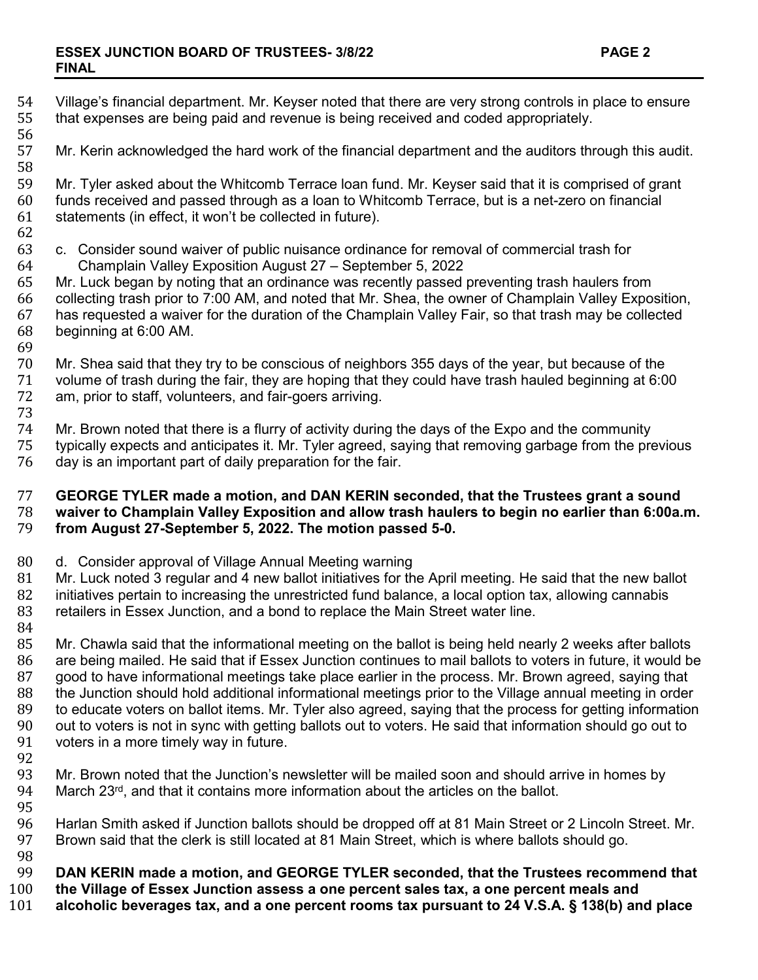54 Village's financial department. Mr. Keyser noted that there are very strong controls in place to ensure<br>55 that expenses are being paid and revenue is being received and coded appropriately. that expenses are being paid and revenue is being received and coded appropriately. 56<br>57 Mr. Kerin acknowledged the hard work of the financial department and the auditors through this audit. 58<br>59 59 Mr. Tyler asked about the Whitcomb Terrace loan fund. Mr. Keyser said that it is comprised of grant 60<br>60 funds received and passed through as a loan to Whitcomb Terrace, but is a net-zero on financial 60 funds received and passed through as a loan to Whitcomb Terrace, but is a net-zero on financial statements (in effect, it won't be collected in future). 62<br>63 63 c. Consider sound waiver of public nuisance ordinance for removal of commercial trash for<br>64 Champlain Valley Exposition August 27 – September 5, 2022 64 Champlain Valley Exposition August 27 – September 5, 2022 65 Mr. Luck began by noting that an ordinance was recently passed preventing trash haulers from<br>66 collecting trash prior to 7:00 AM, and noted that Mr. Shea, the owner of Champlain Valley Expos 66 collecting trash prior to 7:00 AM, and noted that Mr. Shea, the owner of Champlain Valley Exposition, 67 has requested a waiver for the duration of the Champlain Valley Fair, so that trash may be collected beginning at 6:00 AM. 69<br>70 70 Mr. Shea said that they try to be conscious of neighbors 355 days of the year, but because of the<br>71 volume of trash during the fair, they are hoping that they could have trash hauled beginning at 6:0 71 volume of trash during the fair, they are hoping that they could have trash hauled beginning at 6:00 am, prior to staff, volunteers, and fair-goers arriving. 73 74 Mr. Brown noted that there is a flurry of activity during the days of the Expo and the community<br>75 typically expects and anticipates it. Mr. Tyler agreed, saying that removing garbage from the pre 75 typically expects and anticipates it. Mr. Tyler agreed, saying that removing garbage from the previous day is an important part of daily preparation for the fair. 77 **GEORGE TYLER made a motion, and DAN KERIN seconded, that the Trustees grant a sound**  78 **waiver to Champlain Valley Exposition and allow trash haulers to begin no earlier than 6:00a.m.**  79 **from August 27-September 5, 2022. The motion passed 5-0.** 80 d. Consider approval of Village Annual Meeting warning<br>81 Mr. Luck noted 3 regular and 4 new ballot initiatives for th 81 Mr. Luck noted 3 regular and 4 new ballot initiatives for the April meeting. He said that the new ballot 82<br>82 initiatives pertain to increasing the unrestricted fund balance, a local option tax, allowing cannabis 82 initiatives pertain to increasing the unrestricted fund balance, a local option tax, allowing cannabis<br>83 retailers in Essex Junction, and a bond to replace the Main Street water line. retailers in Essex Junction, and a bond to replace the Main Street water line. 84<br>85 85 Mr. Chawla said that the informational meeting on the ballot is being held nearly 2 weeks after ballots<br>86 are being mailed. He said that if Essex Junction continues to mail ballots to voters in future, it would b 86 are being mailed. He said that if Essex Junction continues to mail ballots to voters in future, it would be<br>87 good to have informational meetings take place earlier in the process. Mr. Brown agreed, saying that 87 good to have informational meetings take place earlier in the process. Mr. Brown agreed, saying that 88 the Junction should hold additional informational meetings prior to the Village annual meeting in order<br>89 to educate voters on ballot items. Mr. Tyler also agreed, saving that the process for getting information 89 to educate voters on ballot items. Mr. Tyler also agreed, saying that the process for getting information<br>90 out to voters is not in sync with getting ballots out to voters. He said that information should go out to 90 out to voters is not in sync with getting ballots out to voters. He said that information should go out to<br>91 voters in a more timely way in future. voters in a more timely way in future. 92<br>93 93 Mr. Brown noted that the Junction's newsletter will be mailed soon and should arrive in homes by 94 March 23<sup>rd</sup>, and that it contains more information about the articles on the ballot. March 23 $rd$ , and that it contains more information about the articles on the ballot. 95<br>96 96 Harlan Smith asked if Junction ballots should be dropped off at 81 Main Street or 2 Lincoln Street. Mr. Brown said that the clerk is still located at 81 Main Street, which is where ballots should go. 98<br>99 99 **DAN KERIN made a motion, and GEORGE TYLER seconded, that the Trustees recommend that**  100 **the Village of Essex Junction assess a one percent sales tax, a one percent meals and** 101 **alcoholic beverages tax, and a one percent rooms tax pursuant to 24 V.S.A. § 138(b) and place**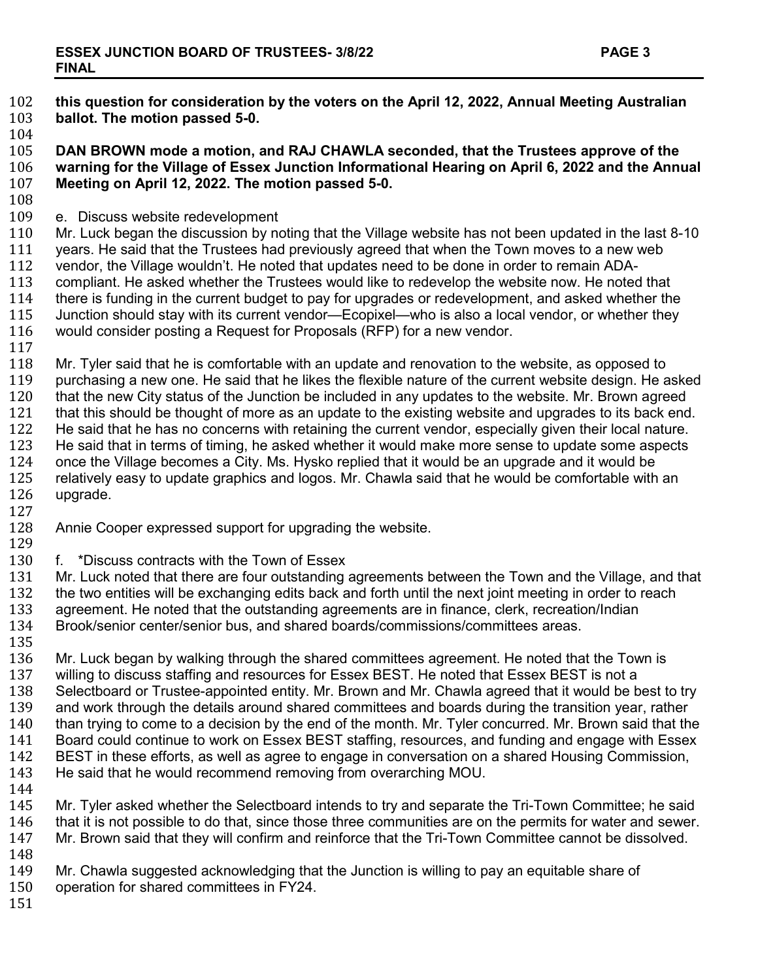102 **this question for consideration by the voters on the April 12, 2022, Annual Meeting Australian**  103 **ballot. The motion passed 5-0.**

104<br>105 **DAN BROWN mode a motion, and RAJ CHAWLA seconded, that the Trustees approve of the warning for the Village of Essex Junction Informational Hearing on April 6, 2022 and the Annual Meeting on April 12, 2022. The motion passed 5-0.**

108<br>109 109 e. Discuss website redevelopment<br>110 Mr. Luck began the discussion by no

110 Mr. Luck began the discussion by noting that the Village website has not been updated in the last 8-10<br>111 vears. He said that the Trustees had previously agreed that when the Town moves to a new web 111 years. He said that the Trustees had previously agreed that when the Town moves to a new web<br>112 vendor, the Village wouldn't. He noted that updates need to be done in order to remain ADA-112 vendor, the Village wouldn't. He noted that updates need to be done in order to remain ADA-<br>113 compliant. He asked whether the Trustees would like to redevelop the website now. He noted 113 compliant. He asked whether the Trustees would like to redevelop the website now. He noted that 114 there is funding in the current budget to pay for upgrades or redevelopment, and asked whether the 114 there is funding in the current budget to pay for upgrades or redevelopment, and asked whether the 115 Junction should stay with its current vendor—Ecopixel—who is also a local vendor, or whether they 115 Junction should stay with its current vendor—Ecopixel—who is also a local vendor, or whether they<br>116 would consider posting a Request for Proposals (RFP) for a new vendor. would consider posting a Request for Proposals (RFP) for a new vendor.

 $\frac{117}{118}$ 118 Mr. Tyler said that he is comfortable with an update and renovation to the website, as opposed to 119 purchasing a new one. He said that he likes the flexible nature of the current website design. He a 119 purchasing a new one. He said that he likes the flexible nature of the current website design. He asked<br>120 that the new City status of the Junction be included in any updates to the website. Mr. Brown agreed 120 that the new City status of the Junction be included in any updates to the website. Mr. Brown agreed<br>121 that this should be thought of more as an update to the existing website and upgrades to its back end 121 that this should be thought of more as an update to the existing website and upgrades to its back end.<br>122 He said that he has no concerns with retaining the current vendor, especially given their local nature. 122 He said that he has no concerns with retaining the current vendor, especially given their local nature.<br>123 He said that in terms of timing, he asked whether it would make more sense to update some aspects 123 He said that in terms of timing, he asked whether it would make more sense to update some aspects<br>124 once the Village becomes a City. Ms. Hysko replied that it would be an upgrade and it would be 124 once the Village becomes a City. Ms. Hysko replied that it would be an upgrade and it would be<br>125 erlatively easy to update graphics and logos. Mr. Chawla said that he would be comfortable with 125 relatively easy to update graphics and logos. Mr. Chawla said that he would be comfortable with an 126 upgrade. upgrade.

 $\frac{127}{128}$ 

Annie Cooper expressed support for upgrading the website.

129<br>130

130 f. \*Discuss contracts with the Town of Essex<br>131 Mr. Luck noted that there are four outstanding

131 Mr. Luck noted that there are four outstanding agreements between the Town and the Village, and that 132<br>132 the two entities will be exchanging edits back and forth until the next joint meeting in order to reach 132 the two entities will be exchanging edits back and forth until the next joint meeting in order to reach 133 are annest and that the outstanding agreement. He noted that the outstanding agreements are in finance, clerk, 133 agreement. He noted that the outstanding agreements are in finance, clerk, recreation/Indian<br>134 Brook/senior center/senior bus, and shared boards/commissions/committees areas. Brook/senior center/senior bus, and shared boards/commissions/committees areas.

135<br>136 136 Mr. Luck began by walking through the shared committees agreement. He noted that the Town is<br>137 willing to discuss staffing and resources for Essex BEST. He noted that Essex BEST is not a 137 willing to discuss staffing and resources for Essex BEST. He noted that Essex BEST is not a<br>138 Selectboard or Trustee-appointed entity. Mr. Brown and Mr. Chawla agreed that it would be b 138 Selectboard or Trustee-appointed entity. Mr. Brown and Mr. Chawla agreed that it would be best to try<br>139 and work through the details around shared committees and boards during the transition year, rather 139 and work through the details around shared committees and boards during the transition year, rather<br>140 than trying to come to a decision by the end of the month. Mr. Tyler concurred. Mr. Brown said that th 140 than trying to come to a decision by the end of the month. Mr. Tyler concurred. Mr. Brown said that the 141<br>141 Board could continue to work on Essex BEST staffing. resources, and funding and engage with Essex 141 Board could continue to work on Essex BEST staffing, resources, and funding and engage with Essex<br>142 BEST in these efforts, as well as agree to engage in conversation on a shared Housing Commission, 142 BEST in these efforts, as well as agree to engage in conversation on a shared Housing Commission, 143 He said that he would recommend removing from overarching MOU. He said that he would recommend removing from overarching MOU.

144<br>145 145 Mr. Tyler asked whether the Selectboard intends to try and separate the Tri-Town Committee; he said 146 that it is not possible to do that, since those three communities are on the permits for water and sewer. 146 that it is not possible to do that, since those three communities are on the permits for water and sewer.<br>147 Mr. Brown said that they will confirm and reinforce that the Tri-Town Committee cannot be dissolved. Mr. Brown said that they will confirm and reinforce that the Tri-Town Committee cannot be dissolved.

148<br>149 149 Mr. Chawla suggested acknowledging that the Junction is willing to pay an equitable share of 150<br>150 operation for shared committees in FY24.

- operation for shared committees in FY24.
- 151